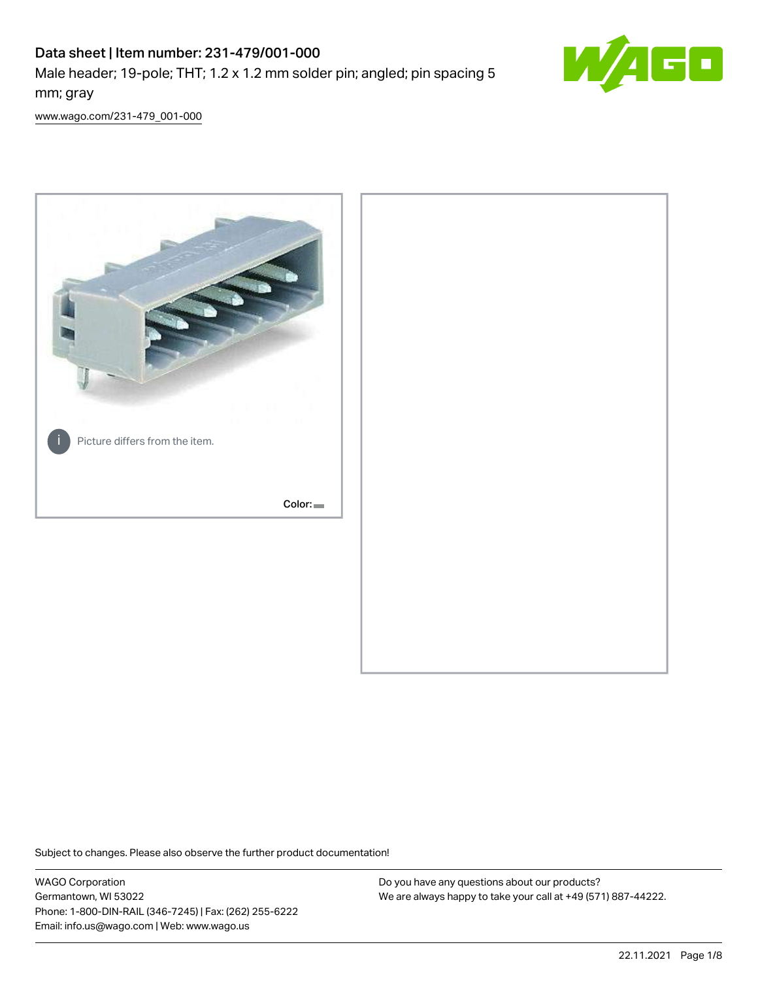# Data sheet | Item number: 231-479/001-000

Male header; 19-pole; THT; 1.2 x 1.2 mm solder pin; angled; pin spacing 5 mm; gray



[www.wago.com/231-479\\_001-000](http://www.wago.com/231-479_001-000)



Subject to changes. Please also observe the further product documentation!

WAGO Corporation Germantown, WI 53022 Phone: 1-800-DIN-RAIL (346-7245) | Fax: (262) 255-6222 Email: info.us@wago.com | Web: www.wago.us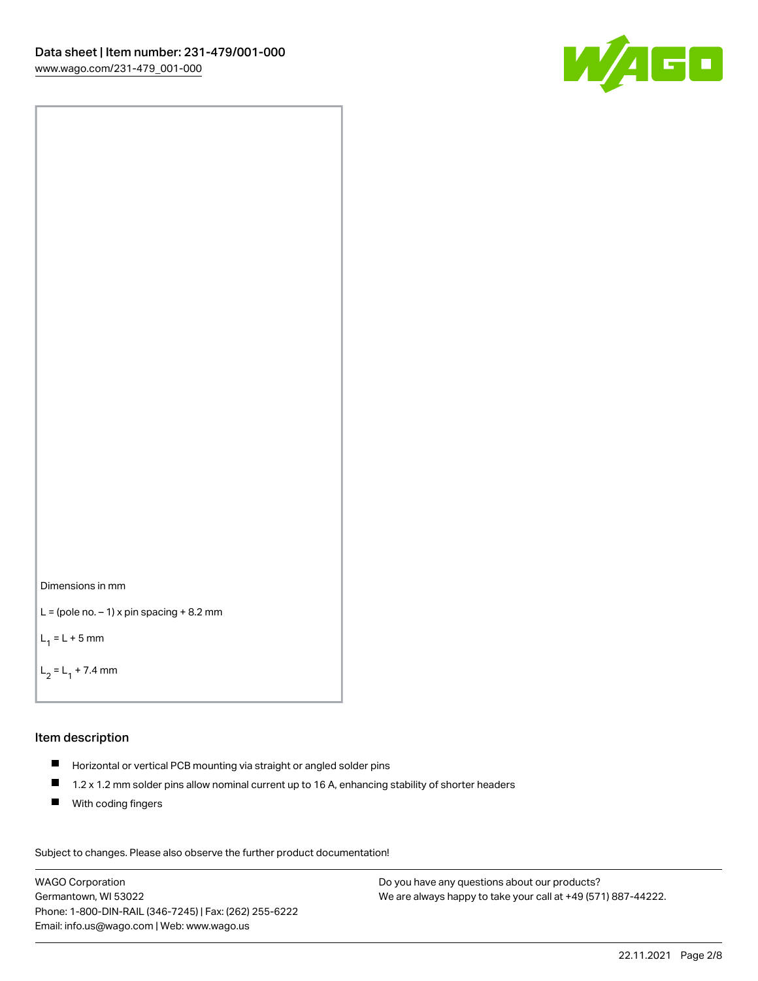



```
L = (pole no. -1) x pin spacing +8.2 mm
```
 $L_1 = L + 5$  mm

```
L_2 = L_1 + 7.4 mm
```
#### Item description

- Horizontal or vertical PCB mounting via straight or angled solder pins
- $\blacksquare$ 1.2 x 1.2 mm solder pins allow nominal current up to 16 A, enhancing stability of shorter headers
- **With coding fingers**

Subject to changes. Please also observe the further product documentation! Data

WAGO Corporation Germantown, WI 53022 Phone: 1-800-DIN-RAIL (346-7245) | Fax: (262) 255-6222 Email: info.us@wago.com | Web: www.wago.us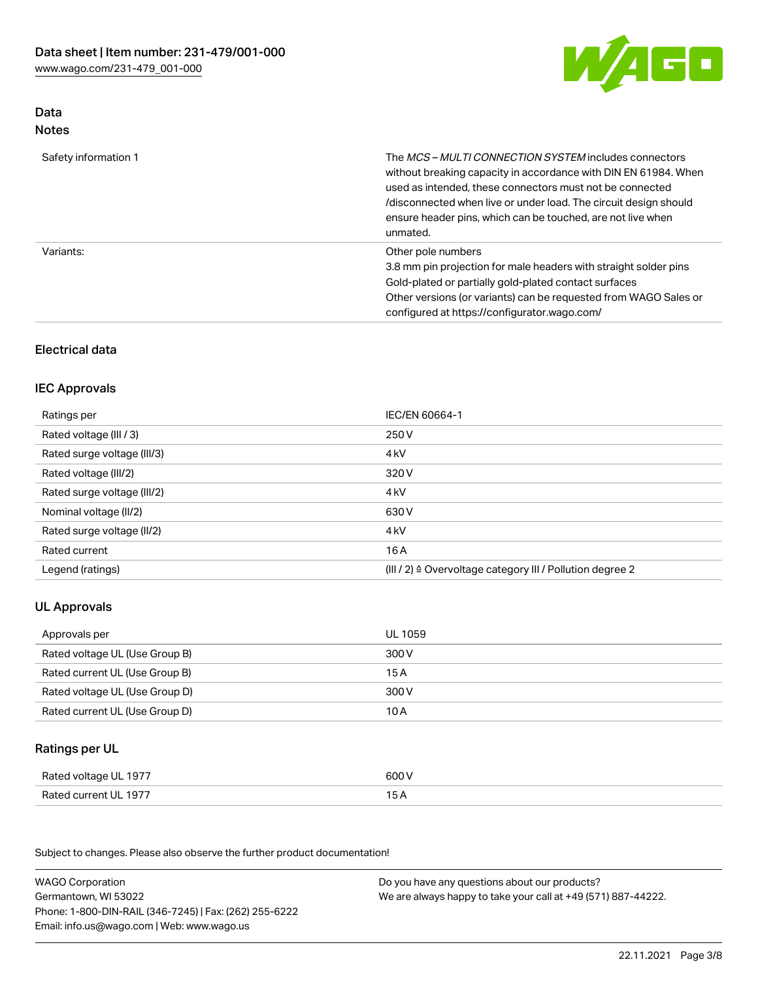

## Data Notes

| Safety information 1 | The <i>MCS – MULTI CONNECTION SYSTEM</i> includes connectors<br>without breaking capacity in accordance with DIN EN 61984. When<br>used as intended, these connectors must not be connected<br>/disconnected when live or under load. The circuit design should<br>ensure header pins, which can be touched, are not live when<br>unmated. |
|----------------------|--------------------------------------------------------------------------------------------------------------------------------------------------------------------------------------------------------------------------------------------------------------------------------------------------------------------------------------------|
| Variants:            | Other pole numbers<br>3.8 mm pin projection for male headers with straight solder pins<br>Gold-plated or partially gold-plated contact surfaces<br>Other versions (or variants) can be requested from WAGO Sales or<br>configured at https://configurator.wago.com/                                                                        |

# Electrical data

## IEC Approvals

| Ratings per                 | IEC/EN 60664-1                                                        |
|-----------------------------|-----------------------------------------------------------------------|
| Rated voltage (III / 3)     | 250 V                                                                 |
| Rated surge voltage (III/3) | 4 <sub>k</sub> V                                                      |
| Rated voltage (III/2)       | 320 V                                                                 |
| Rated surge voltage (III/2) | 4 <sub>kV</sub>                                                       |
| Nominal voltage (II/2)      | 630 V                                                                 |
| Rated surge voltage (II/2)  | 4 <sub>k</sub> V                                                      |
| Rated current               | 16A                                                                   |
| Legend (ratings)            | $(III / 2)$ $\triangle$ Overvoltage category III / Pollution degree 2 |

# UL Approvals

| Approvals per                  | UL 1059 |
|--------------------------------|---------|
| Rated voltage UL (Use Group B) | 300 V   |
| Rated current UL (Use Group B) | 15 A    |
| Rated voltage UL (Use Group D) | 300 V   |
| Rated current UL (Use Group D) | 10 A    |

## Ratings per UL

| Rated voltage UL 1977 | 600 V |
|-----------------------|-------|
| Rated current UL 1977 |       |

Subject to changes. Please also observe the further product documentation!

| <b>WAGO Corporation</b>                                | Do you have any questions about our products?                 |
|--------------------------------------------------------|---------------------------------------------------------------|
| Germantown, WI 53022                                   | We are always happy to take your call at +49 (571) 887-44222. |
| Phone: 1-800-DIN-RAIL (346-7245)   Fax: (262) 255-6222 |                                                               |
| Email: info.us@wago.com   Web: www.wago.us             |                                                               |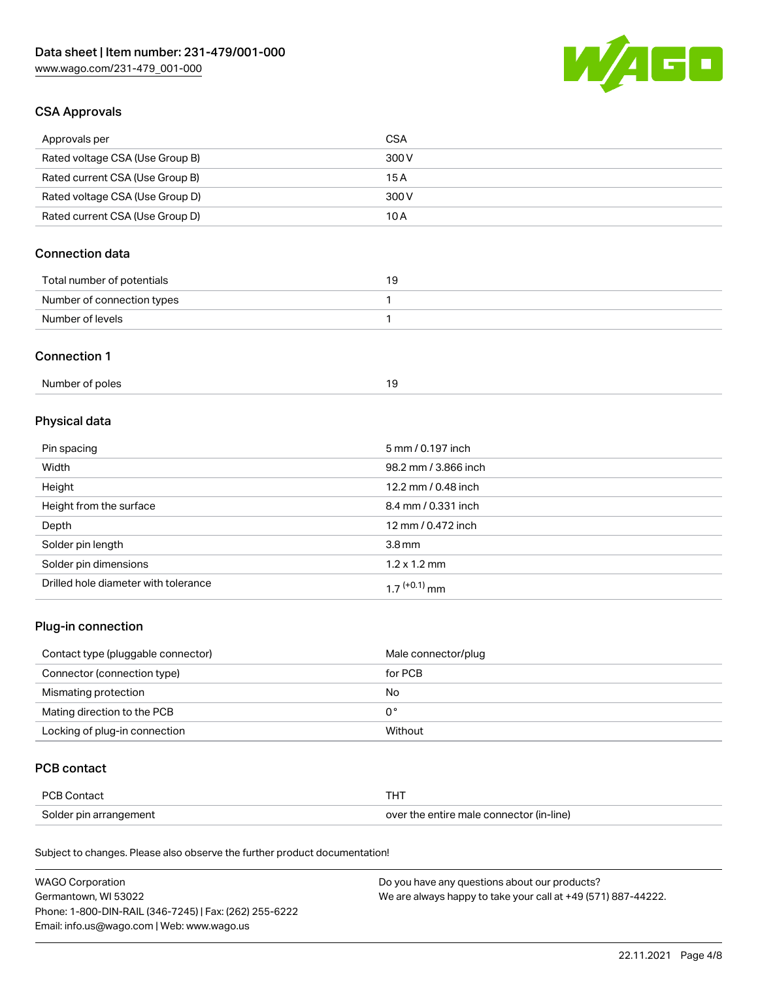

## CSA Approvals

| Approvals per                   | CSA   |
|---------------------------------|-------|
| Rated voltage CSA (Use Group B) | 300 V |
| Rated current CSA (Use Group B) | 15 A  |
| Rated voltage CSA (Use Group D) | 300 V |
| Rated current CSA (Use Group D) | 10 A  |

# Connection data

| Total number of potentials |  |
|----------------------------|--|
| Number of connection types |  |
| Number of levels           |  |

#### Connection 1

| Number of poles |  |
|-----------------|--|
|                 |  |

# Physical data

| Pin spacing                          | 5 mm / 0.197 inch    |
|--------------------------------------|----------------------|
| Width                                | 98.2 mm / 3.866 inch |
| Height                               | 12.2 mm / 0.48 inch  |
| Height from the surface              | 8.4 mm / 0.331 inch  |
| Depth                                | 12 mm / 0.472 inch   |
| Solder pin length                    | 3.8 <sub>mm</sub>    |
| Solder pin dimensions                | $1.2 \times 1.2$ mm  |
| Drilled hole diameter with tolerance | $17^{(+0.1)}$ mm     |

# Plug-in connection

| Contact type (pluggable connector) | Male connector/plug |
|------------------------------------|---------------------|
| Connector (connection type)        | for PCB             |
| Mismating protection               | No                  |
| Mating direction to the PCB        | 0°                  |
| Locking of plug-in connection      | Without             |

## PCB contact

| PCB Contact            |                                          |
|------------------------|------------------------------------------|
| Solder pin arrangement | over the entire male connector (in-line) |

Subject to changes. Please also observe the further product documentation!

| <b>WAGO Corporation</b>                                | Do you have any questions about our products?                 |
|--------------------------------------------------------|---------------------------------------------------------------|
| Germantown, WI 53022                                   | We are always happy to take your call at +49 (571) 887-44222. |
| Phone: 1-800-DIN-RAIL (346-7245)   Fax: (262) 255-6222 |                                                               |
| Email: info.us@wago.com   Web: www.wago.us             |                                                               |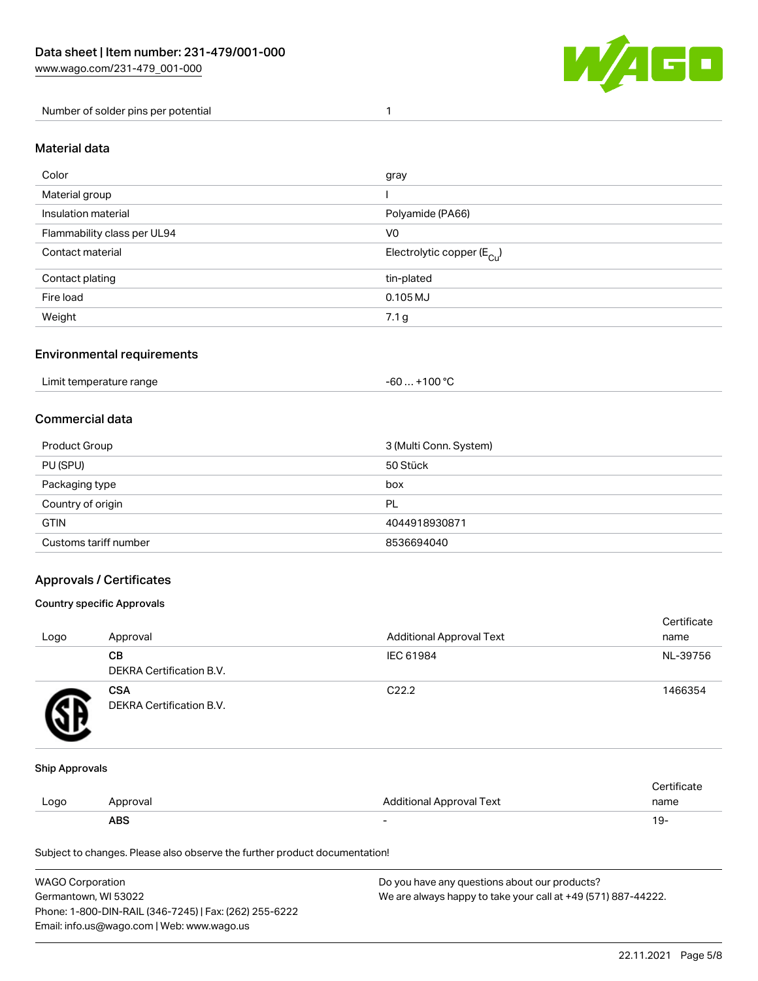

Number of solder pins per potential 1

### Material data

| Color                       | gray                                    |
|-----------------------------|-----------------------------------------|
| Material group              |                                         |
| Insulation material         | Polyamide (PA66)                        |
| Flammability class per UL94 | V <sub>0</sub>                          |
| Contact material            | Electrolytic copper ( $E_{\text{Cu}}$ ) |
| Contact plating             | tin-plated                              |
| Fire load                   | $0.105 \mathrm{MJ}$                     |
| Weight                      | 7.1 <sub>g</sub>                        |

## Environmental requirements

Limit temperature range  $-60... +100$  °C

### Commercial data

| Product Group         | 3 (Multi Conn. System) |  |
|-----------------------|------------------------|--|
| PU (SPU)              | 50 Stück               |  |
| Packaging type        | box                    |  |
| Country of origin     | PL                     |  |
| <b>GTIN</b>           | 4044918930871          |  |
| Customs tariff number | 8536694040             |  |

## Approvals / Certificates

#### Country specific Approvals

| Logo | Approval                               | <b>Additional Approval Text</b> | Certificate<br>name |
|------|----------------------------------------|---------------------------------|---------------------|
|      | <b>CB</b><br>DEKRA Certification B.V.  | IEC 61984                       | NL-39756            |
|      | <b>CSA</b><br>DEKRA Certification B.V. | C <sub>22.2</sub>               | 1466354             |

#### Ship Approvals

|      | ABS      | -                        | -91                    |
|------|----------|--------------------------|------------------------|
| Logo | Approval | Additional Approval Text | name                   |
|      |          |                          | $\cdot$<br>ੋ°rtificate |

Subject to changes. Please also observe the further product documentation!

| WAGO Corporation                                       | Do you have any questions about our products?                 |
|--------------------------------------------------------|---------------------------------------------------------------|
| Germantown, WI 53022                                   | We are always happy to take your call at +49 (571) 887-44222. |
| Phone: 1-800-DIN-RAIL (346-7245)   Fax: (262) 255-6222 |                                                               |
| Email: info.us@wago.com   Web: www.wago.us             |                                                               |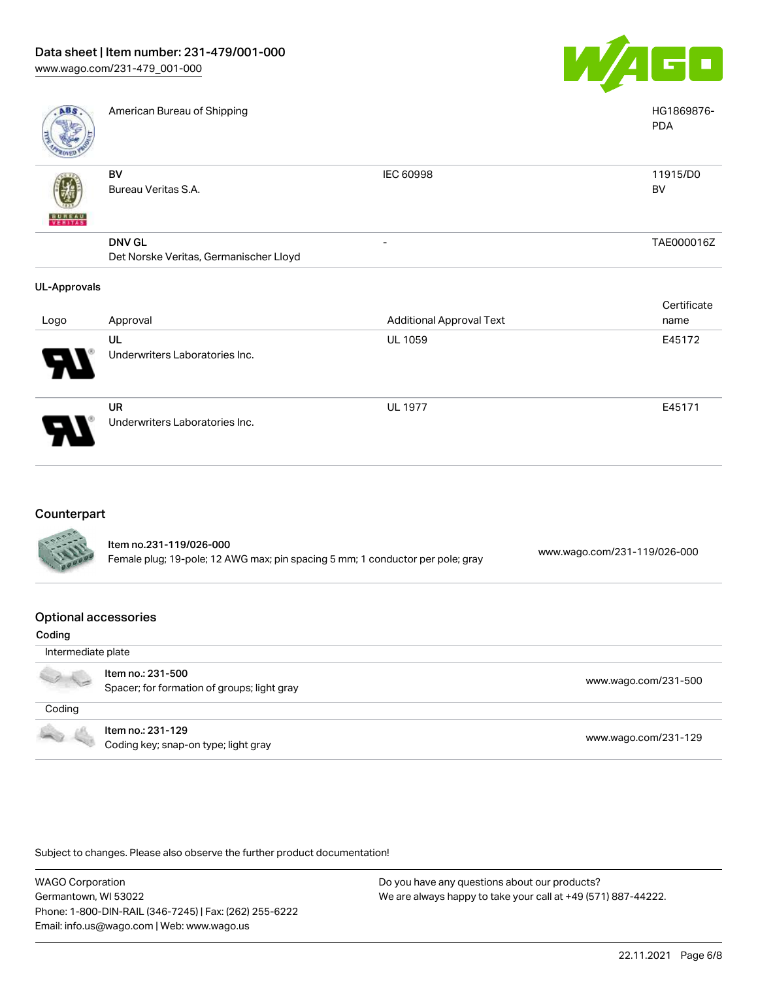

| <b>ABS</b>          | American Bureau of Shipping                             |                                 | HG1869876-<br><b>PDA</b> |
|---------------------|---------------------------------------------------------|---------------------------------|--------------------------|
| <b>BUNEAU</b>       | BV<br>Bureau Veritas S.A.                               | <b>IEC 60998</b>                | 11915/D0<br>BV           |
|                     | <b>DNV GL</b><br>Det Norske Veritas, Germanischer Lloyd | -                               | TAE000016Z               |
| <b>UL-Approvals</b> |                                                         |                                 |                          |
| Logo                | Approval                                                | <b>Additional Approval Text</b> | Certificate<br>name      |
|                     | UL<br>Underwriters Laboratories Inc.                    | <b>UL 1059</b>                  | E45172                   |
|                     | UR<br>Underwriters Laboratories Inc.                    | <b>UL 1977</b>                  | E45171                   |

# **Counterpart**

79

| <b>CALLES</b> | Item no.231-119/026-000<br>Female plug; 19-pole; 12 AWG max; pin spacing 5 mm; 1 conductor per pole; gray | www.wago.com/231-119/026-000 |
|---------------|-----------------------------------------------------------------------------------------------------------|------------------------------|
|               |                                                                                                           |                              |

#### Optional accessories

| Coding                   |                                                                  |                      |
|--------------------------|------------------------------------------------------------------|----------------------|
| Intermediate plate       |                                                                  |                      |
|                          | Item no.: 231-500<br>Spacer; for formation of groups; light gray | www.wago.com/231-500 |
| Coding                   |                                                                  |                      |
| <b>Contract Contract</b> | Item no.: 231-129<br>Coding key; snap-on type; light gray        | www.wago.com/231-129 |

Subject to changes. Please also observe the further product documentation!

WAGO Corporation Germantown, WI 53022 Phone: 1-800-DIN-RAIL (346-7245) | Fax: (262) 255-6222 Email: info.us@wago.com | Web: www.wago.us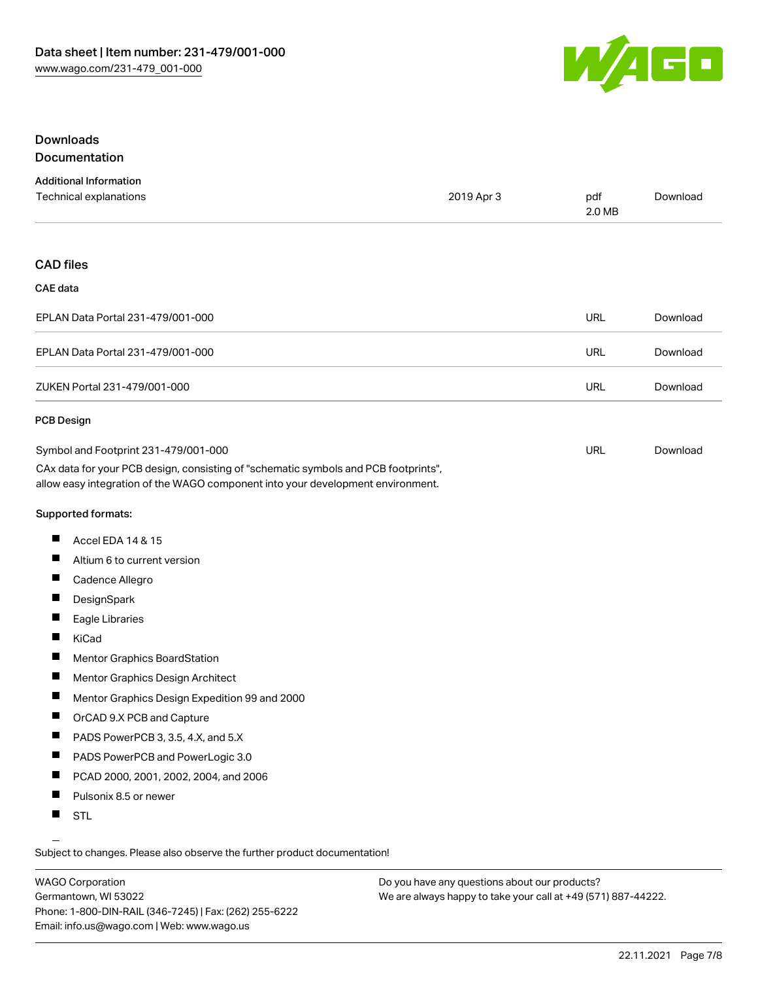

### Downloads Documentation

| <b>Additional Information</b> |            |        |          |
|-------------------------------|------------|--------|----------|
| Technical explanations        | 2019 Apr 3 | pdf    | Download |
|                               |            | 2.0 MB |          |

#### CAD files

#### CAE data

| EPLAN Data Portal 231-479/001-000 | URL | Download |
|-----------------------------------|-----|----------|
| EPLAN Data Portal 231-479/001-000 | URL | Download |
| ZUKEN Portal 231-479/001-000      | URL | Download |

#### PCB Design

| Symbol and Footprint 231-479/001-000                                                | URL | Download |
|-------------------------------------------------------------------------------------|-----|----------|
| CAx data for your PCB design, consisting of "schematic symbols and PCB footprints", |     |          |
| allow easy integration of the WAGO component into your development environment.     |     |          |

Supported formats:

- $\blacksquare$ Accel EDA 14 & 15
- $\blacksquare$ Altium 6 to current version
- $\blacksquare$ Cadence Allegro
- $\blacksquare$ **DesignSpark**
- П Eagle Libraries
- $\blacksquare$ KiCad
- $\blacksquare$ Mentor Graphics BoardStation
- $\blacksquare$ Mentor Graphics Design Architect
- $\blacksquare$ Mentor Graphics Design Expedition 99 and 2000
- $\blacksquare$ OrCAD 9.X PCB and Capture
- $\blacksquare$ PADS PowerPCB 3, 3.5, 4.X, and 5.X
- $\blacksquare$ PADS PowerPCB and PowerLogic 3.0
- $\blacksquare$ PCAD 2000, 2001, 2002, 2004, and 2006
- $\blacksquare$ Pulsonix 8.5 or newer
- $\blacksquare$ STL

Subject to changes. Please also observe the further product documentation!

WAGO Corporation Germantown, WI 53022 Phone: 1-800-DIN-RAIL (346-7245) | Fax: (262) 255-6222 Email: info.us@wago.com | Web: www.wago.us